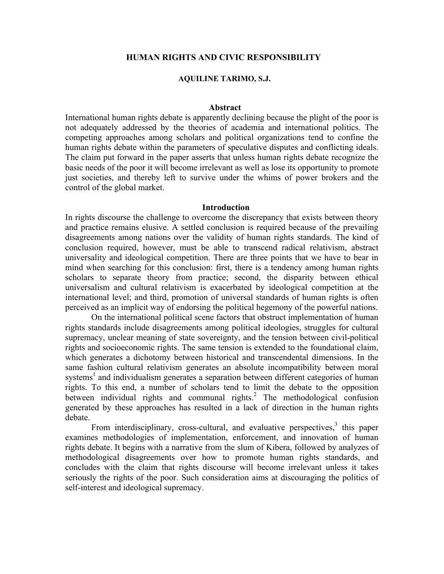## **HUMAN RIGHTS AND CIVIC RESPONSIBILITY**

#### **AQUILINE TARIMO, S.J.**

### **Abstract**

International human rights debate is apparently declining because the plight of the poor is not adequately addressed by the theories of academia and international politics. The competing approaches among scholars and political organizations tend to confine the human rights debate within the parameters of speculative disputes and conflicting ideals. The claim put forward in the paper asserts that unless human rights debate recognize the basic needs of the poor it will become irrelevant as well as lose its opportunity to promote just societies, and thereby left to survive under the whims of power brokers and the control of the global market.

#### **Introduction**

In rights discourse the challenge to overcome the discrepancy that exists between theory and practice remains elusive. A settled conclusion is required because of the prevailing disagreements among nations over the validity of human rights standards. The kind of conclusion required, however, must be able to transcend radical relativism, abstract universality and ideological competition. There are three points that we have to bear in mind when searching for this conclusion: first, there is a tendency among human rights scholars to separate theory from practice; second, the disparity between ethical universalism and cultural relativism is exacerbated by ideological competition at the international level; and third, promotion of universal standards of human rights is often perceived as an implicit way of endorsing the political hegemony of the powerful nations.

On the international political scene factors that obstruct implementation of human rights standards include disagreements among political ideologies, struggles for cultural supremacy, unclear meaning of state sovereignty, and the tension between civil-political rights and socioeconomic rights. The same tension is extended to the foundational claim, which generates a dichotomy between historical and transcendental dimensions. In the same fashion cultural relativism generates an absolute incompatibility between moral systems<sup>1</sup> and individualism generates a separation between different categories of human rights. To this end, a number of scholars tend to limit the debate to the opposition between individual rights and communal rights.<sup>2</sup> The methodological confusion generated by these approaches has resulted in a lack of direction in the human rights debate.

From interdisciplinary, cross-cultural, and evaluative perspectives, $3$  this paper examines methodologies of implementation, enforcement, and innovation of human rights debate. It begins with a narrative from the slum of Kibera, followed by analyzes of methodological disagreements over how to promote human rights standards, and concludes with the claim that rights discourse will become irrelevant unless it takes seriously the rights of the poor. Such consideration aims at discouraging the politics of self-interest and ideological supremacy.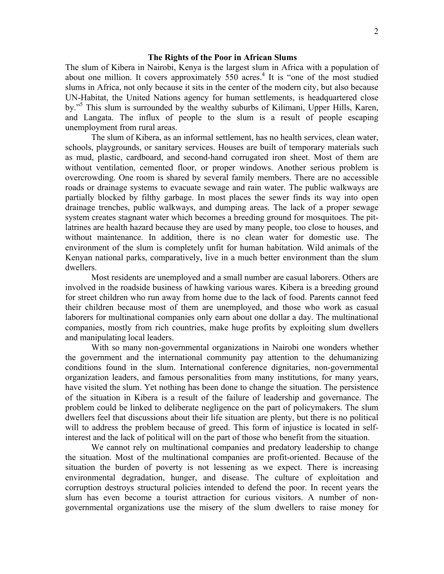#### **The Rights of the Poor in African Slums**

The slum of Kibera in Nairobi, Kenya is the largest slum in Africa with a population of about one million. It covers approximately  $550$  acres.<sup>4</sup> It is "one of the most studied slums in Africa, not only because it sits in the center of the modern city, but also because UN-Habitat, the United Nations agency for human settlements, is headquartered close by."<sup>5</sup> This slum is surrounded by the wealthy suburbs of Kilimani, Upper Hills, Karen, and Langata. The influx of people to the slum is a result of people escaping unemployment from rural areas.

The slum of Kibera, as an informal settlement, has no health services, clean water, schools, playgrounds, or sanitary services. Houses are built of temporary materials such as mud, plastic, cardboard, and second-hand corrugated iron sheet. Most of them are without ventilation, cemented floor, or proper windows. Another serious problem is overcrowding. One room is shared by several family members. There are no accessible roads or drainage systems to evacuate sewage and rain water. The public walkways are partially blocked by filthy garbage. In most places the sewer finds its way into open drainage trenches, public walkways, and dumping areas. The lack of a proper sewage system creates stagnant water which becomes a breeding ground for mosquitoes. The pitlatrines are health hazard because they are used by many people, too close to houses, and without maintenance. In addition, there is no clean water for domestic use. The environment of the slum is completely unfit for human habitation. Wild animals of the Kenyan national parks, comparatively, live in a much better environment than the slum dwellers.

Most residents are unemployed and a small number are casual laborers. Others are involved in the roadside business of hawking various wares. Kibera is a breeding ground for street children who run away from home due to the lack of food. Parents cannot feed their children because most of them are unemployed, and those who work as casual laborers for multinational companies only earn about one dollar a day. The multinational companies, mostly from rich countries, make huge profits by exploiting slum dwellers and manipulating local leaders.

With so many non-governmental organizations in Nairobi one wonders whether the government and the international community pay attention to the dehumanizing conditions found in the slum. International conference dignitaries, non-governmental organization leaders, and famous personalities from many institutions, for many years, have visited the slum. Yet nothing has been done to change the situation. The persistence of the situation in Kibera is a result of the failure of leadership and governance. The problem could be linked to deliberate negligence on the part of policymakers. The slum dwellers feel that discussions about their life situation are plenty, but there is no political will to address the problem because of greed. This form of injustice is located in selfinterest and the lack of political will on the part of those who benefit from the situation.

We cannot rely on multinational companies and predatory leadership to change the situation. Most of the multinational companies are profit-oriented. Because of the situation the burden of poverty is not lessening as we expect. There is increasing environmental degradation, hunger, and disease. The culture of exploitation and corruption destroys structural policies intended to defend the poor. In recent years the slum has even become a tourist attraction for curious visitors. A number of nongovernmental organizations use the misery of the slum dwellers to raise money for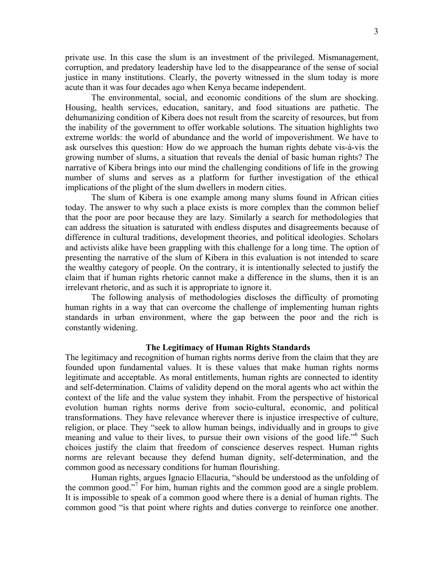private use. In this case the slum is an investment of the privileged. Mismanagement, corruption, and predatory leadership have led to the disappearance of the sense of social justice in many institutions. Clearly, the poverty witnessed in the slum today is more acute than it was four decades ago when Kenya became independent.

The environmental, social, and economic conditions of the slum are shocking. Housing, health services, education, sanitary, and food situations are pathetic. The dehumanizing condition of Kibera does not result from the scarcity of resources, but from the inability of the government to offer workable solutions. The situation highlights two extreme worlds: the world of abundance and the world of impoverishment. We have to ask ourselves this question: How do we approach the human rights debate vis-à-vis the growing number of slums, a situation that reveals the denial of basic human rights? The narrative of Kibera brings into our mind the challenging conditions of life in the growing number of slums and serves as a platform for further investigation of the ethical implications of the plight of the slum dwellers in modern cities.

The slum of Kibera is one example among many slums found in African cities today. The answer to why such a place exists is more complex than the common belief that the poor are poor because they are lazy. Similarly a search for methodologies that can address the situation is saturated with endless disputes and disagreements because of difference in cultural traditions, development theories, and political ideologies. Scholars and activists alike have been grappling with this challenge for a long time. The option of presenting the narrative of the slum of Kibera in this evaluation is not intended to scare the wealthy category of people. On the contrary, it is intentionally selected to justify the claim that if human rights rhetoric cannot make a difference in the slums, then it is an irrelevant rhetoric, and as such it is appropriate to ignore it.

The following analysis of methodologies discloses the difficulty of promoting human rights in a way that can overcome the challenge of implementing human rights standards in urban environment, where the gap between the poor and the rich is constantly widening.

#### **The Legitimacy of Human Rights Standards**

The legitimacy and recognition of human rights norms derive from the claim that they are founded upon fundamental values. It is these values that make human rights norms legitimate and acceptable. As moral entitlements, human rights are connected to identity and self-determination. Claims of validity depend on the moral agents who act within the context of the life and the value system they inhabit. From the perspective of historical evolution human rights norms derive from socio-cultural, economic, and political transformations. They have relevance wherever there is injustice irrespective of culture, religion, or place. They "seek to allow human beings, individually and in groups to give meaning and value to their lives, to pursue their own visions of the good life."<sup>6</sup> Such choices justify the claim that freedom of conscience deserves respect. Human rights norms are relevant because they defend human dignity, self-determination, and the common good as necessary conditions for human flourishing.

Human rights, argues Ignacio Ellacuria, "should be understood as the unfolding of the common good."<sup>7</sup> For him, human rights and the common good are a single problem. It is impossible to speak of a common good where there is a denial of human rights. The common good "is that point where rights and duties converge to reinforce one another.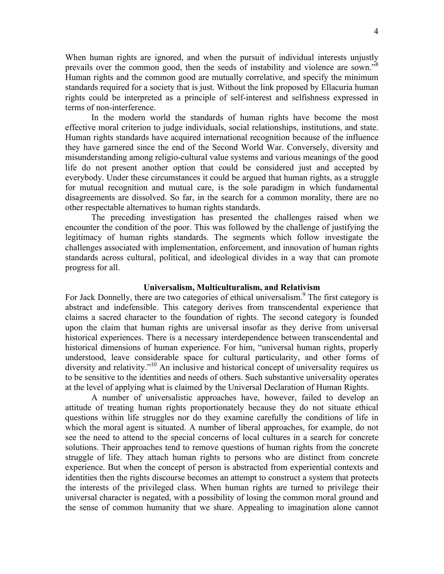When human rights are ignored, and when the pursuit of individual interests unjustly prevails over the common good, then the seeds of instability and violence are sown."<sup>8</sup> Human rights and the common good are mutually correlative, and specify the minimum standards required for a society that is just. Without the link proposed by Ellacuria human rights could be interpreted as a principle of self-interest and selfishness expressed in terms of non-interference.

In the modern world the standards of human rights have become the most effective moral criterion to judge individuals, social relationships, institutions, and state. Human rights standards have acquired international recognition because of the influence they have garnered since the end of the Second World War. Conversely, diversity and misunderstanding among religio-cultural value systems and various meanings of the good life do not present another option that could be considered just and accepted by everybody. Under these circumstances it could be argued that human rights, as a struggle for mutual recognition and mutual care, is the sole paradigm in which fundamental disagreements are dissolved. So far, in the search for a common morality, there are no other respectable alternatives to human rights standards.

The preceding investigation has presented the challenges raised when we encounter the condition of the poor. This was followed by the challenge of justifying the legitimacy of human rights standards. The segments which follow investigate the challenges associated with implementation, enforcement, and innovation of human rights standards across cultural, political, and ideological divides in a way that can promote progress for all.

# **Universalism, Multiculturalism, and Relativism**

For Jack Donnelly, there are two categories of ethical universalism.<sup>9</sup> The first category is abstract and indefensible. This category derives from transcendental experience that claims a sacred character to the foundation of rights. The second category is founded upon the claim that human rights are universal insofar as they derive from universal historical experiences. There is a necessary interdependence between transcendental and historical dimensions of human experience. For him, "universal human rights, properly understood, leave considerable space for cultural particularity, and other forms of diversity and relativity."<sup>10</sup> An inclusive and historical concept of universality requires us to be sensitive to the identities and needs of others. Such substantive universality operates at the level of applying what is claimed by the Universal Declaration of Human Rights.

A number of universalistic approaches have, however, failed to develop an attitude of treating human rights proportionately because they do not situate ethical questions within life struggles nor do they examine carefully the conditions of life in which the moral agent is situated. A number of liberal approaches, for example, do not see the need to attend to the special concerns of local cultures in a search for concrete solutions. Their approaches tend to remove questions of human rights from the concrete struggle of life. They attach human rights to persons who are distinct from concrete experience. But when the concept of person is abstracted from experiential contexts and identities then the rights discourse becomes an attempt to construct a system that protects the interests of the privileged class. When human rights are turned to privilege their universal character is negated, with a possibility of losing the common moral ground and the sense of common humanity that we share. Appealing to imagination alone cannot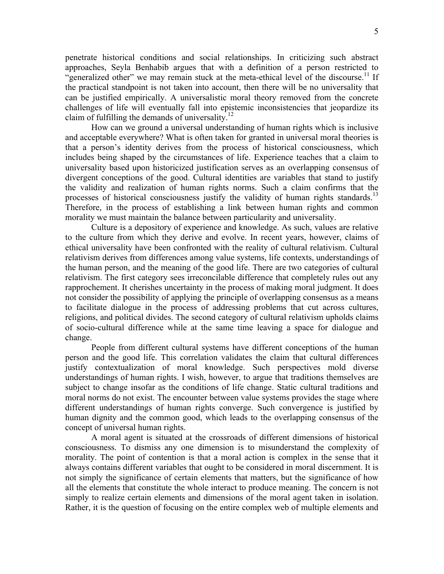penetrate historical conditions and social relationships. In criticizing such abstract approaches, Seyla Benhabib argues that with a definition of a person restricted to "generalized other" we may remain stuck at the meta-ethical level of the discourse.<sup>11</sup> If the practical standpoint is not taken into account, then there will be no universality that can be justified empirically. A universalistic moral theory removed from the concrete challenges of life will eventually fall into epistemic inconsistencies that jeopardize its claim of fulfilling the demands of universality. $^{12}$ 

How can we ground a universal understanding of human rights which is inclusive and acceptable everywhere? What is often taken for granted in universal moral theories is that a person's identity derives from the process of historical consciousness, which includes being shaped by the circumstances of life. Experience teaches that a claim to universality based upon historicized justification serves as an overlapping consensus of divergent conceptions of the good. Cultural identities are variables that stand to justify the validity and realization of human rights norms. Such a claim confirms that the processes of historical consciousness justify the validity of human rights standards.<sup>13</sup> Therefore, in the process of establishing a link between human rights and common morality we must maintain the balance between particularity and universality.

Culture is a depository of experience and knowledge. As such, values are relative to the culture from which they derive and evolve. In recent years, however, claims of ethical universality have been confronted with the reality of cultural relativism. Cultural relativism derives from differences among value systems, life contexts, understandings of the human person, and the meaning of the good life. There are two categories of cultural relativism. The first category sees irreconcilable difference that completely rules out any rapprochement. It cherishes uncertainty in the process of making moral judgment. It does not consider the possibility of applying the principle of overlapping consensus as a means to facilitate dialogue in the process of addressing problems that cut across cultures, religions, and political divides. The second category of cultural relativism upholds claims of socio-cultural difference while at the same time leaving a space for dialogue and change.

People from different cultural systems have different conceptions of the human person and the good life. This correlation validates the claim that cultural differences justify contextualization of moral knowledge. Such perspectives mold diverse understandings of human rights. I wish, however, to argue that traditions themselves are subject to change insofar as the conditions of life change. Static cultural traditions and moral norms do not exist. The encounter between value systems provides the stage where different understandings of human rights converge. Such convergence is justified by human dignity and the common good, which leads to the overlapping consensus of the concept of universal human rights.

A moral agent is situated at the crossroads of different dimensions of historical consciousness. To dismiss any one dimension is to misunderstand the complexity of morality. The point of contention is that a moral action is complex in the sense that it always contains different variables that ought to be considered in moral discernment. It is not simply the significance of certain elements that matters, but the significance of how all the elements that constitute the whole interact to produce meaning. The concern is not simply to realize certain elements and dimensions of the moral agent taken in isolation. Rather, it is the question of focusing on the entire complex web of multiple elements and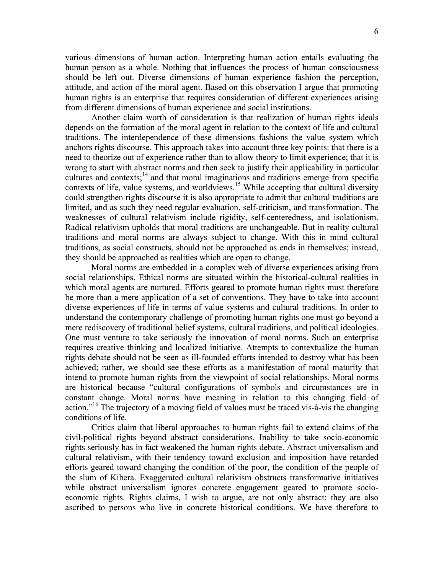various dimensions of human action. Interpreting human action entails evaluating the human person as a whole. Nothing that influences the process of human consciousness should be left out. Diverse dimensions of human experience fashion the perception, attitude, and action of the moral agent. Based on this observation I argue that promoting human rights is an enterprise that requires consideration of different experiences arising from different dimensions of human experience and social institutions.

Another claim worth of consideration is that realization of human rights ideals depends on the formation of the moral agent in relation to the context of life and cultural traditions. The interdependence of these dimensions fashions the value system which anchors rights discourse. This approach takes into account three key points: that there is a need to theorize out of experience rather than to allow theory to limit experience; that it is wrong to start with abstract norms and then seek to justify their applicability in particular cultures and contexts; $^{14}$  and that moral imaginations and traditions emerge from specific contexts of life, value systems, and worldviews.<sup>15</sup> While accepting that cultural diversity could strengthen rights discourse it is also appropriate to admit that cultural traditions are limited, and as such they need regular evaluation, self-criticism, and transformation. The weaknesses of cultural relativism include rigidity, self-centeredness, and isolationism. Radical relativism upholds that moral traditions are unchangeable. But in reality cultural traditions and moral norms are always subject to change. With this in mind cultural traditions, as social constructs, should not be approached as ends in themselves; instead, they should be approached as realities which are open to change.

Moral norms are embedded in a complex web of diverse experiences arising from social relationships. Ethical norms are situated within the historical-cultural realities in which moral agents are nurtured. Efforts geared to promote human rights must therefore be more than a mere application of a set of conventions. They have to take into account diverse experiences of life in terms of value systems and cultural traditions. In order to understand the contemporary challenge of promoting human rights one must go beyond a mere rediscovery of traditional belief systems, cultural traditions, and political ideologies. One must venture to take seriously the innovation of moral norms. Such an enterprise requires creative thinking and localized initiative. Attempts to contextualize the human rights debate should not be seen as ill-founded efforts intended to destroy what has been achieved; rather, we should see these efforts as a manifestation of moral maturity that intend to promote human rights from the viewpoint of social relationships. Moral norms are historical because "cultural configurations of symbols and circumstances are in constant change. Moral norms have meaning in relation to this changing field of action."16 The trajectory of a moving field of values must be traced vis-à-vis the changing conditions of life.

Critics claim that liberal approaches to human rights fail to extend claims of the civil-political rights beyond abstract considerations. Inability to take socio-economic rights seriously has in fact weakened the human rights debate. Abstract universalism and cultural relativism, with their tendency toward exclusion and imposition have retarded efforts geared toward changing the condition of the poor, the condition of the people of the slum of Kibera. Exaggerated cultural relativism obstructs transformative initiatives while abstract universalism ignores concrete engagement geared to promote socioeconomic rights. Rights claims, I wish to argue, are not only abstract; they are also ascribed to persons who live in concrete historical conditions. We have therefore to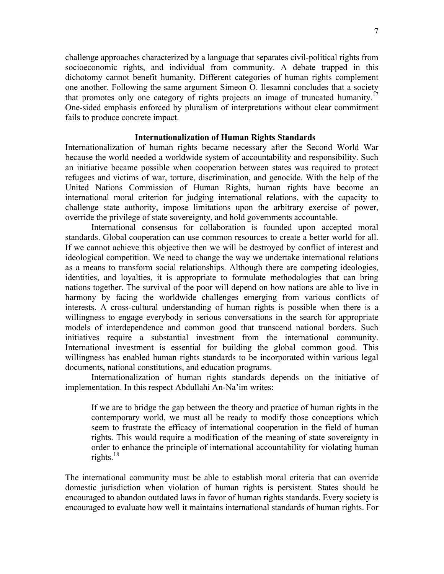challenge approaches characterized by a language that separates civil-political rights from socioeconomic rights, and individual from community. A debate trapped in this dichotomy cannot benefit humanity. Different categories of human rights complement one another. Following the same argument Simeon O. Ilesamni concludes that a society that promotes only one category of rights projects an image of truncated humanity.<sup>17</sup> One-sided emphasis enforced by pluralism of interpretations without clear commitment fails to produce concrete impact.

## **Internationalization of Human Rights Standards**

Internationalization of human rights became necessary after the Second World War because the world needed a worldwide system of accountability and responsibility. Such an initiative became possible when cooperation between states was required to protect refugees and victims of war, torture, discrimination, and genocide. With the help of the United Nations Commission of Human Rights, human rights have become an international moral criterion for judging international relations, with the capacity to challenge state authority, impose limitations upon the arbitrary exercise of power, override the privilege of state sovereignty, and hold governments accountable.

International consensus for collaboration is founded upon accepted moral standards. Global cooperation can use common resources to create a better world for all. If we cannot achieve this objective then we will be destroyed by conflict of interest and ideological competition. We need to change the way we undertake international relations as a means to transform social relationships. Although there are competing ideologies, identities, and loyalties, it is appropriate to formulate methodologies that can bring nations together. The survival of the poor will depend on how nations are able to live in harmony by facing the worldwide challenges emerging from various conflicts of interests. A cross-cultural understanding of human rights is possible when there is a willingness to engage everybody in serious conversations in the search for appropriate models of interdependence and common good that transcend national borders. Such initiatives require a substantial investment from the international community. International investment is essential for building the global common good. This willingness has enabled human rights standards to be incorporated within various legal documents, national constitutions, and education programs.

Internationalization of human rights standards depends on the initiative of implementation. In this respect Abdullahi An-Na'im writes:

If we are to bridge the gap between the theory and practice of human rights in the contemporary world, we must all be ready to modify those conceptions which seem to frustrate the efficacy of international cooperation in the field of human rights. This would require a modification of the meaning of state sovereignty in order to enhance the principle of international accountability for violating human rights. $18$ 

The international community must be able to establish moral criteria that can override domestic jurisdiction when violation of human rights is persistent. States should be encouraged to abandon outdated laws in favor of human rights standards. Every society is encouraged to evaluate how well it maintains international standards of human rights. For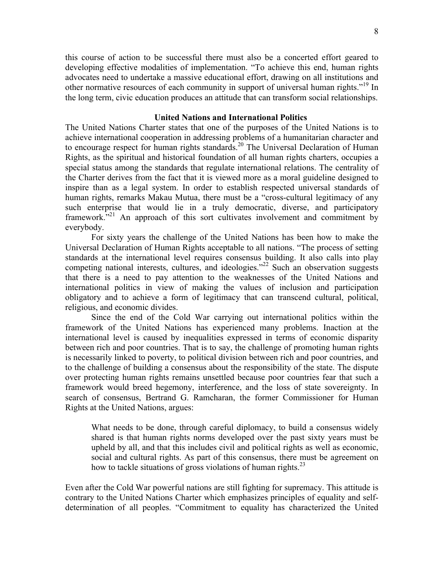this course of action to be successful there must also be a concerted effort geared to developing effective modalities of implementation. "To achieve this end, human rights advocates need to undertake a massive educational effort, drawing on all institutions and other normative resources of each community in support of universal human rights."<sup>19</sup> In the long term, civic education produces an attitude that can transform social relationships.

## **United Nations and International Politics**

The United Nations Charter states that one of the purposes of the United Nations is to achieve international cooperation in addressing problems of a humanitarian character and to encourage respect for human rights standards.<sup>20</sup> The Universal Declaration of Human Rights, as the spiritual and historical foundation of all human rights charters, occupies a special status among the standards that regulate international relations. The centrality of the Charter derives from the fact that it is viewed more as a moral guideline designed to inspire than as a legal system. In order to establish respected universal standards of human rights, remarks Makau Mutua, there must be a "cross-cultural legitimacy of any such enterprise that would lie in a truly democratic, diverse, and participatory framework."<sup>21</sup> An approach of this sort cultivates involvement and commitment by everybody.

For sixty years the challenge of the United Nations has been how to make the Universal Declaration of Human Rights acceptable to all nations. "The process of setting standards at the international level requires consensus building. It also calls into play competing national interests, cultures, and ideologies."<sup>22</sup> Such an observation suggests that there is a need to pay attention to the weaknesses of the United Nations and international politics in view of making the values of inclusion and participation obligatory and to achieve a form of legitimacy that can transcend cultural, political, religious, and economic divides.

Since the end of the Cold War carrying out international politics within the framework of the United Nations has experienced many problems. Inaction at the international level is caused by inequalities expressed in terms of economic disparity between rich and poor countries. That is to say, the challenge of promoting human rights is necessarily linked to poverty, to political division between rich and poor countries, and to the challenge of building a consensus about the responsibility of the state. The dispute over protecting human rights remains unsettled because poor countries fear that such a framework would breed hegemony, interference, and the loss of state sovereignty. In search of consensus, Bertrand G. Ramcharan, the former Commissioner for Human Rights at the United Nations, argues:

What needs to be done, through careful diplomacy, to build a consensus widely shared is that human rights norms developed over the past sixty years must be upheld by all, and that this includes civil and political rights as well as economic, social and cultural rights. As part of this consensus, there must be agreement on how to tackle situations of gross violations of human rights. $^{23}$ 

Even after the Cold War powerful nations are still fighting for supremacy. This attitude is contrary to the United Nations Charter which emphasizes principles of equality and selfdetermination of all peoples. "Commitment to equality has characterized the United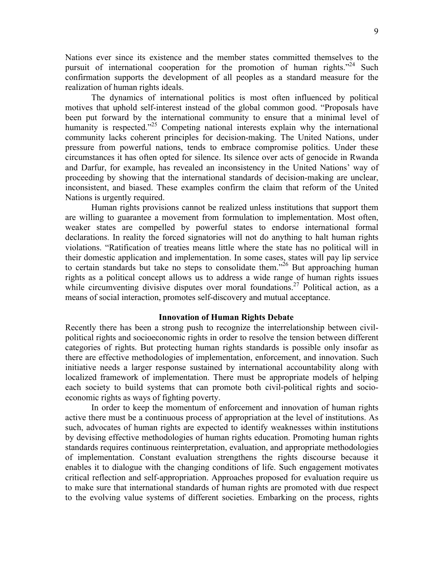Nations ever since its existence and the member states committed themselves to the pursuit of international cooperation for the promotion of human rights.<sup> $2^{24}$ </sup> Such confirmation supports the development of all peoples as a standard measure for the realization of human rights ideals.

The dynamics of international politics is most often influenced by political motives that uphold self-interest instead of the global common good. "Proposals have been put forward by the international community to ensure that a minimal level of humanity is respected."<sup>25</sup> Competing national interests explain why the international community lacks coherent principles for decision-making. The United Nations, under pressure from powerful nations, tends to embrace compromise politics. Under these circumstances it has often opted for silence. Its silence over acts of genocide in Rwanda and Darfur, for example, has revealed an inconsistency in the United Nations' way of proceeding by showing that the international standards of decision-making are unclear, inconsistent, and biased. These examples confirm the claim that reform of the United Nations is urgently required.

Human rights provisions cannot be realized unless institutions that support them are willing to guarantee a movement from formulation to implementation. Most often, weaker states are compelled by powerful states to endorse international formal declarations. In reality the forced signatories will not do anything to halt human rights violations. "Ratification of treaties means little where the state has no political will in their domestic application and implementation. In some cases, states will pay lip service to certain standards but take no steps to consolidate them.<sup> $26$ </sup> But approaching human rights as a political concept allows us to address a wide range of human rights issues while circumventing divisive disputes over moral foundations.<sup>27</sup> Political action, as a means of social interaction, promotes self-discovery and mutual acceptance.

#### **Innovation of Human Rights Debate**

Recently there has been a strong push to recognize the interrelationship between civilpolitical rights and socioeconomic rights in order to resolve the tension between different categories of rights. But protecting human rights standards is possible only insofar as there are effective methodologies of implementation, enforcement, and innovation. Such initiative needs a larger response sustained by international accountability along with localized framework of implementation. There must be appropriate models of helping each society to build systems that can promote both civil-political rights and socioeconomic rights as ways of fighting poverty.

In order to keep the momentum of enforcement and innovation of human rights active there must be a continuous process of appropriation at the level of institutions. As such, advocates of human rights are expected to identify weaknesses within institutions by devising effective methodologies of human rights education. Promoting human rights standards requires continuous reinterpretation, evaluation, and appropriate methodologies of implementation. Constant evaluation strengthens the rights discourse because it enables it to dialogue with the changing conditions of life. Such engagement motivates critical reflection and self-appropriation. Approaches proposed for evaluation require us to make sure that international standards of human rights are promoted with due respect to the evolving value systems of different societies. Embarking on the process, rights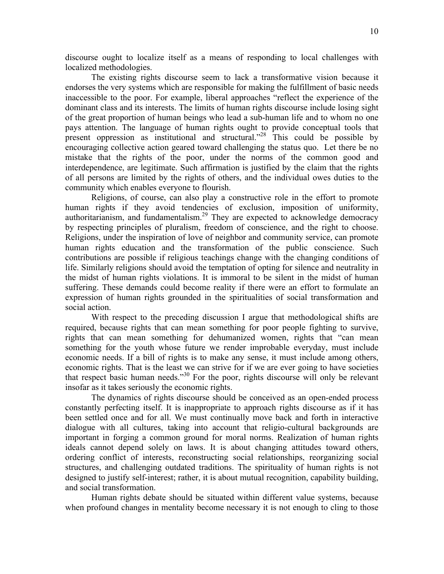discourse ought to localize itself as a means of responding to local challenges with localized methodologies.

The existing rights discourse seem to lack a transformative vision because it endorses the very systems which are responsible for making the fulfillment of basic needs inaccessible to the poor. For example, liberal approaches "reflect the experience of the dominant class and its interests. The limits of human rights discourse include losing sight of the great proportion of human beings who lead a sub-human life and to whom no one pays attention. The language of human rights ought to provide conceptual tools that present oppression as institutional and structural."28 This could be possible by encouraging collective action geared toward challenging the status quo. Let there be no mistake that the rights of the poor, under the norms of the common good and interdependence, are legitimate. Such affirmation is justified by the claim that the rights of all persons are limited by the rights of others, and the individual owes duties to the community which enables everyone to flourish.

Religions, of course, can also play a constructive role in the effort to promote human rights if they avoid tendencies of exclusion, imposition of uniformity, authoritarianism, and fundamentalism.<sup>29</sup> They are expected to acknowledge democracy by respecting principles of pluralism, freedom of conscience, and the right to choose. Religions, under the inspiration of love of neighbor and community service, can promote human rights education and the transformation of the public conscience. Such contributions are possible if religious teachings change with the changing conditions of life. Similarly religions should avoid the temptation of opting for silence and neutrality in the midst of human rights violations. It is immoral to be silent in the midst of human suffering. These demands could become reality if there were an effort to formulate an expression of human rights grounded in the spiritualities of social transformation and social action.

With respect to the preceding discussion I argue that methodological shifts are required, because rights that can mean something for poor people fighting to survive, rights that can mean something for dehumanized women, rights that "can mean something for the youth whose future we render improbable everyday, must include economic needs. If a bill of rights is to make any sense, it must include among others, economic rights. That is the least we can strive for if we are ever going to have societies that respect basic human needs."30 For the poor, rights discourse will only be relevant insofar as it takes seriously the economic rights.

The dynamics of rights discourse should be conceived as an open-ended process constantly perfecting itself. It is inappropriate to approach rights discourse as if it has been settled once and for all. We must continually move back and forth in interactive dialogue with all cultures, taking into account that religio-cultural backgrounds are important in forging a common ground for moral norms. Realization of human rights ideals cannot depend solely on laws. It is about changing attitudes toward others, ordering conflict of interests, reconstructing social relationships, reorganizing social structures, and challenging outdated traditions. The spirituality of human rights is not designed to justify self-interest; rather, it is about mutual recognition, capability building, and social transformation.

Human rights debate should be situated within different value systems, because when profound changes in mentality become necessary it is not enough to cling to those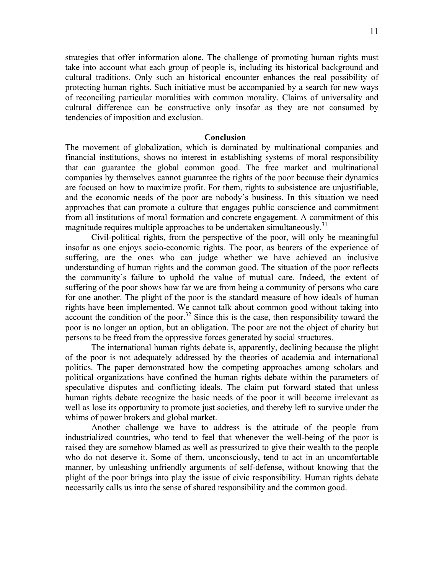strategies that offer information alone. The challenge of promoting human rights must take into account what each group of people is, including its historical background and cultural traditions. Only such an historical encounter enhances the real possibility of protecting human rights. Such initiative must be accompanied by a search for new ways of reconciling particular moralities with common morality. Claims of universality and cultural difference can be constructive only insofar as they are not consumed by tendencies of imposition and exclusion.

#### **Conclusion**

The movement of globalization, which is dominated by multinational companies and financial institutions, shows no interest in establishing systems of moral responsibility that can guarantee the global common good. The free market and multinational companies by themselves cannot guarantee the rights of the poor because their dynamics are focused on how to maximize profit. For them, rights to subsistence are unjustifiable, and the economic needs of the poor are nobody's business. In this situation we need approaches that can promote a culture that engages public conscience and commitment from all institutions of moral formation and concrete engagement. A commitment of this magnitude requires multiple approaches to be undertaken simultaneously.<sup>31</sup>

Civil-political rights, from the perspective of the poor, will only be meaningful insofar as one enjoys socio-economic rights. The poor, as bearers of the experience of suffering, are the ones who can judge whether we have achieved an inclusive understanding of human rights and the common good. The situation of the poor reflects the community's failure to uphold the value of mutual care. Indeed, the extent of suffering of the poor shows how far we are from being a community of persons who care for one another. The plight of the poor is the standard measure of how ideals of human rights have been implemented. We cannot talk about common good without taking into account the condition of the poor.<sup>32</sup> Since this is the case, then responsibility toward the poor is no longer an option, but an obligation. The poor are not the object of charity but persons to be freed from the oppressive forces generated by social structures.

The international human rights debate is, apparently, declining because the plight of the poor is not adequately addressed by the theories of academia and international politics. The paper demonstrated how the competing approaches among scholars and political organizations have confined the human rights debate within the parameters of speculative disputes and conflicting ideals. The claim put forward stated that unless human rights debate recognize the basic needs of the poor it will become irrelevant as well as lose its opportunity to promote just societies, and thereby left to survive under the whims of power brokers and global market.

Another challenge we have to address is the attitude of the people from industrialized countries, who tend to feel that whenever the well-being of the poor is raised they are somehow blamed as well as pressurized to give their wealth to the people who do not deserve it. Some of them, unconsciously, tend to act in an uncomfortable manner, by unleashing unfriendly arguments of self-defense, without knowing that the plight of the poor brings into play the issue of civic responsibility. Human rights debate necessarily calls us into the sense of shared responsibility and the common good.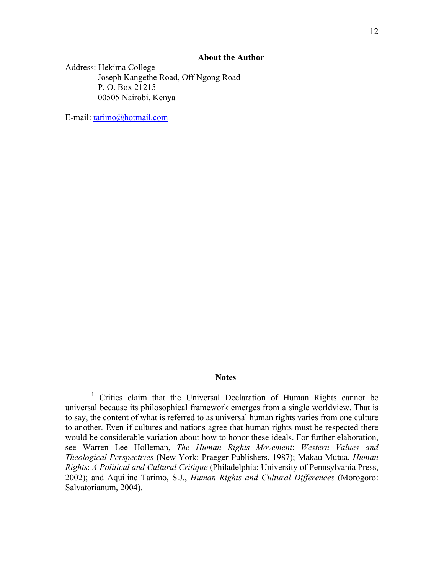## **About the Author**

Address: Hekima College Joseph Kangethe Road, Off Ngong Road P. O. Box 21215 00505 Nairobi, Kenya

E-mail: tarimo@hotmail.com

# **Notes**

<sup>&</sup>lt;u>1</u> <sup>1</sup> Critics claim that the Universal Declaration of Human Rights cannot be universal because its philosophical framework emerges from a single worldview. That is to say, the content of what is referred to as universal human rights varies from one culture to another. Even if cultures and nations agree that human rights must be respected there would be considerable variation about how to honor these ideals. For further elaboration, see Warren Lee Holleman, *The Human Rights Movement*: *Western Values and Theological Perspectives* (New York: Praeger Publishers, 1987); Makau Mutua, *Human Rights*: *A Political and Cultural Critique* (Philadelphia: University of Pennsylvania Press, 2002); and Aquiline Tarimo, S.J., *Human Rights and Cultural Differences* (Morogoro: Salvatorianum, 2004).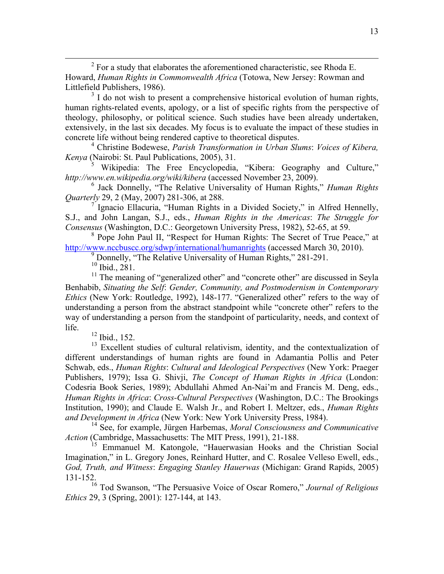2  $2$  For a study that elaborates the aforementioned characteristic, see Rhoda E. Howard, *Human Rights in Commonwealth Africa* (Totowa, New Jersey: Rowman and Littlefield Publishers, 1986).

 $3<sup>3</sup>$  I do not wish to present a comprehensive historical evolution of human rights, human rights-related events, apology, or a list of specific rights from the perspective of theology, philosophy, or political science. Such studies have been already undertaken, extensively, in the last six decades. My focus is to evaluate the impact of these studies in concrete life without being rendered captive to theoretical disputes.

4 Christine Bodewese, *Parish Transformation in Urban Slums*: *Voices of Kibera, Kenya* (Nairobi: St. Paul Publications, 2005), 31.

5 Wikipedia: The Free Encyclopedia, "Kibera: Geography and Culture," *http://www.en.wikipedia.org/wiki/kibera* (accessed November 23, 2009).

6 Jack Donnelly, "The Relative Universality of Human Rights," *Human Rights Quarterly* 29, 2 (May, 2007) 281-306, at 288.

<sup>7</sup> Ignacio Ellacuria, "Human Rights in a Divided Society," in Alfred Hennelly, S.J., and John Langan, S.J., eds., *Human Rights in the Americas*: *The Struggle for Consensus* (Washington, D.C.: Georgetown University Press, 1982), 52-65, at 59.

<sup>8</sup> Pope John Paul II, "Respect for Human Rights: The Secret of True Peace," at http://www.nccbuscc.org/sdwp/international/humanrights (accessed March 30, 2010).

<sup>9</sup> Donnelly, "The Relative Universality of Human Rights," 281-291.

 $10$  Ibid., 281.

<sup>11</sup> The meaning of "generalized other" and "concrete other" are discussed in Seyla Benhabib, *Situating the Self*: *Gender, Community, and Postmodernism in Contemporary Ethics* (New York: Routledge, 1992), 148-177. "Generalized other" refers to the way of understanding a person from the abstract standpoint while "concrete other" refers to the way of understanding a person from the standpoint of particularity, needs, and context of life.

12 Ibid., 152.

<sup>13</sup> Excellent studies of cultural relativism, identity, and the contextualization of different understandings of human rights are found in Adamantia Pollis and Peter Schwab, eds., *Human Rights*: *Cultural and Ideological Perspectives* (New York: Praeger Publishers, 1979); Issa G. Shivji, *The Concept of Human Rights in Africa* (London: Codesria Book Series, 1989); Abdullahi Ahmed An-Nai'm and Francis M. Deng, eds., *Human Rights in Africa*: *Cross-Cultural Perspectives* (Washington, D.C.: The Brookings Institution, 1990); and Claude E. Walsh Jr., and Robert I. Meltzer, eds., *Human Rights and Development in Africa* (New York: New York University Press, 1984).

14 See, for example, Jürgen Harbemas, *Moral Consciousness and Communicative Action* (Cambridge, Massachusetts: The MIT Press, 1991), 21-188.

<sup>15</sup> Emmanuel M. Katongole, "Hauerwasian Hooks and the Christian Social Imagination," in L. Gregory Jones, Reinhard Hutter, and C. Rosalee Velleso Ewell, eds., *God, Truth, and Witness*: *Engaging Stanley Hauerwas* (Michigan: Grand Rapids, 2005) 131-152.

16 Tod Swanson, "The Persuasive Voice of Oscar Romero," *Journal of Religious Ethics* 29, 3 (Spring, 2001): 127-144, at 143.